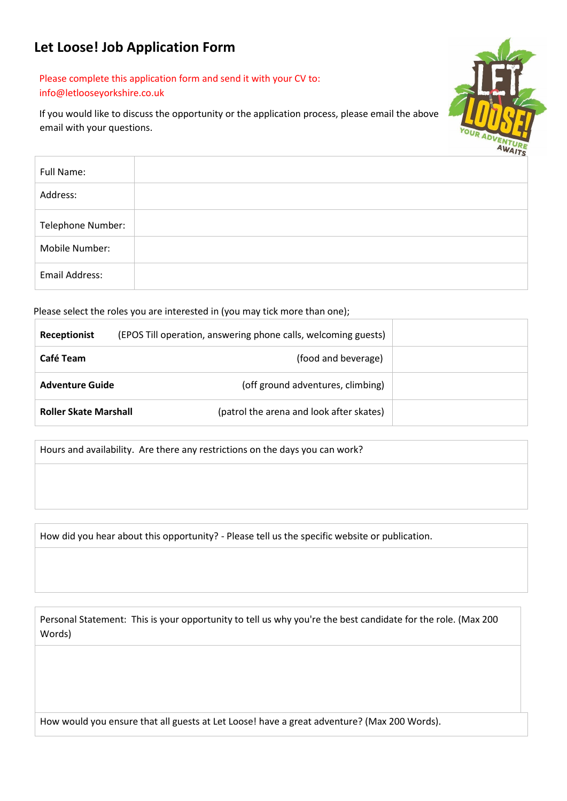## **Let Loose! Job Application Form**

## Please complete this application form and send it with your CV to: info@letlooseyorkshire.co.uk

If you would like to discuss the opportunity or the application process, please email the above email with your questions.



| Full Name:        |  |
|-------------------|--|
| Address:          |  |
| Telephone Number: |  |
| Mobile Number:    |  |
| Email Address:    |  |

Please select the roles you are interested in (you may tick more than one);

| <b>Receptionist</b>          | (EPOS Till operation, answering phone calls, welcoming guests) |  |
|------------------------------|----------------------------------------------------------------|--|
| Café Team                    | (food and beverage)                                            |  |
| <b>Adventure Guide</b>       | (off ground adventures, climbing)                              |  |
| <b>Roller Skate Marshall</b> | (patrol the arena and look after skates)                       |  |

Hours and availability. Are there any restrictions on the days you can work?

How did you hear about this opportunity? - Please tell us the specific website or publication.

Personal Statement: This is your opportunity to tell us why you're the best candidate for the role. (Max 200 Words)

How would you ensure that all guests at Let Loose! have a great adventure? (Max 200 Words).